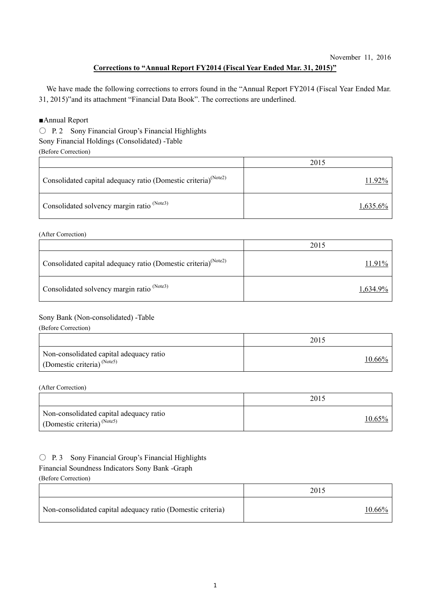# **Corrections to "Annual Report FY2014 (Fiscal Year Ended Mar. 31, 2015)"**

We have made the following corrections to errors found in the "Annual Report FY2014 (Fiscal Year Ended Mar. 31, 2015)"and its attachment "Financial Data Book". The corrections are underlined.

## ■Annual Report

○ P. 2 Sony Financial Group's Financial Highlights

Sony Financial Holdings (Consolidated) -Table

(Before Correction)

|                                                                            | 2015     |
|----------------------------------------------------------------------------|----------|
| Consolidated capital adequacy ratio (Domestic criteria) <sup>(Note2)</sup> | 11.92%   |
| Consolidated solvency margin ratio <sup>(Note3)</sup>                      | 1,635.6% |

(After Correction)

|                                                                            | 2015        |
|----------------------------------------------------------------------------|-------------|
| Consolidated capital adequacy ratio (Domestic criteria) <sup>(Note2)</sup> | 11.91%      |
| Consolidated solvency margin ratio <sup>(Note3)</sup>                      | $1,634.9\%$ |

# Sony Bank (Non-consolidated) -Table

(Before Correction)

|                                                                                  | 2015          |
|----------------------------------------------------------------------------------|---------------|
| Non-consolidated capital adequacy ratio<br>Domestic criteria) <sup>(Note5)</sup> | <u>10.66%</u> |

(After Correction)

|                                                                                   | 2015   |
|-----------------------------------------------------------------------------------|--------|
| Non-consolidated capital adequacy ratio<br>(Domestic criteria) <sup>(Note5)</sup> | 10.65% |

## $\bigcirc$  P. 3 Sony Financial Group's Financial Highlights

## Financial Soundness Indicators Sony Bank -Graph

(Before Correction)

|                                                             | 2015      |
|-------------------------------------------------------------|-----------|
| Non-consolidated capital adequacy ratio (Domestic criteria) | $10.66\%$ |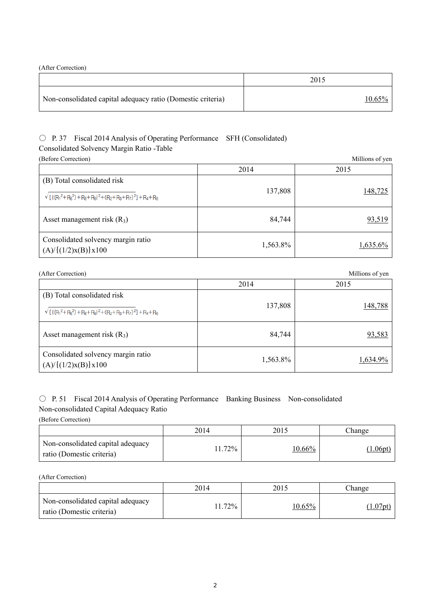(After Correction)

|                                                             | 2015      |
|-------------------------------------------------------------|-----------|
| Non-consolidated capital adequacy ratio (Domestic criteria) | $10.65\%$ |

# ○ P. 37 Fiscal 2014 Analysis of Operating Performance SFH (Consolidated) Consolidated Solvency Margin Ratio -Table

| (Before Correction)                                                                        |          | Millions of yen |
|--------------------------------------------------------------------------------------------|----------|-----------------|
|                                                                                            | 2014     | 2015            |
| (B) Total consolidated risk<br>$\sqrt{[(R_1^2+R_5^2)+R_8+R_9]^2+(R_2+R_3+R_7)^2]+R_4+R_6}$ | 137,808  | 148,725         |
|                                                                                            |          |                 |
| Asset management risk $(R_3)$                                                              | 84,744   | 93,519          |
| Consolidated solvency margin ratio<br>$(A)/\{(1/2)x(B)\}x100$                              | 1,563.8% | 1,635.6%        |

| (After Correction) |
|--------------------|
|                    |

| (After Correction)                                                                         |          | Millions of yen |
|--------------------------------------------------------------------------------------------|----------|-----------------|
|                                                                                            | 2014     | 2015            |
| (B) Total consolidated risk<br>$\sqrt{[(R_1^2+R_5^2)+R_8+R_9]^2+(R_2+R_3+R_7)^2]+R_4+R_6}$ | 137,808  | 148,788         |
| Asset management risk $(R_3)$                                                              | 84,744   | 93,583          |
| Consolidated solvency margin ratio<br>(A)/[(1/2)x(B)]x100                                  | 1,563.8% | 1,634.9%        |

# ○ P. 51 Fiscal 2014 Analysis of Operating Performance Banking Business Non-consolidated Non-consolidated Capital Adequacy Ratio

(Before Correction)

|                                                                | 2014 | 2015      | Change |
|----------------------------------------------------------------|------|-----------|--------|
| Non-consolidated capital adequacy<br>ratio (Domestic criteria) | 72%  | $10.66\%$ | 1.06pt |

(After Correction)

|                                                                | 2014  | 2015      | Change    |
|----------------------------------------------------------------|-------|-----------|-----------|
| Non-consolidated capital adequacy<br>ratio (Domestic criteria) | 1.72% | $10.65\%$ | $1.07$ pt |